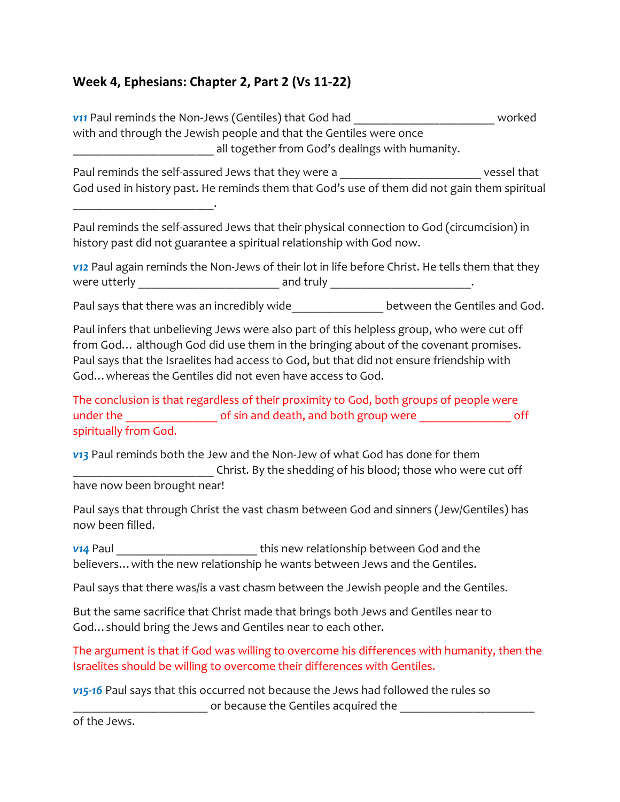## **Week 4, Ephesians: Chapter 2, Part 2 (Vs 11-22)**

\_\_\_\_\_\_\_\_\_\_\_\_\_\_\_\_\_\_\_\_\_\_\_.

*v11* Paul reminds the Non-Jews (Gentiles) that God had \_\_\_\_\_\_\_\_\_\_\_\_\_\_\_\_\_\_\_\_\_\_\_ worked with and through the Jewish people and that the Gentiles were once \_\_\_\_\_\_\_\_\_\_\_\_\_\_\_\_\_\_\_\_\_\_\_ all together from God's dealings with humanity.

Paul reminds the self-assured Jews that they were a zero were vessel that God used in history past. He reminds them that God's use of them did not gain them spiritual

Paul reminds the self-assured Jews that their physical connection to God (circumcision) in history past did not guarantee a spiritual relationship with God now.

*v12* Paul again reminds the Non-Jews of their lot in life before Christ. He tells them that they were utterly \_\_\_\_\_\_\_\_\_\_\_\_\_\_\_\_\_\_\_\_\_\_\_ and truly \_\_\_\_\_\_\_\_\_\_\_\_\_\_\_\_\_\_\_\_\_\_\_.

Paul says that there was an incredibly wide between the Gentiles and God.

Paul infers that unbelieving Jews were also part of this helpless group, who were cut off from God… although God did use them in the bringing about of the covenant promises. Paul says that the Israelites had access to God, but that did not ensure friendship with God…whereas the Gentiles did not even have access to God.

The conclusion is that regardless of their proximity to God, both groups of people were under the \_\_\_\_\_\_\_\_\_\_\_\_\_\_\_\_\_\_\_\_\_\_ of sin and death, and both group were \_\_\_\_\_\_\_\_\_\_\_\_\_\_\_\_\_\_\_\_\_ off spiritually from God.

*v13* Paul reminds both the Jew and the Non-Jew of what God has done for them \_\_\_\_\_\_\_\_\_\_\_\_\_\_\_\_\_\_\_\_\_\_\_ Christ. By the shedding of his blood; those who were cut off have now been brought near!

Paul says that through Christ the vast chasm between God and sinners (Jew/Gentiles) has now been filled.

**v14** Paul **Value 20. Notify 12 and the state of the state of the the state of the state of the state of the state of the state of the state of the state of the state of the state of the state of the state of the state of** believers…with the new relationship he wants between Jews and the Gentiles.

Paul says that there was/is a vast chasm between the Jewish people and the Gentiles.

But the same sacrifice that Christ made that brings both Jews and Gentiles near to God…should bring the Jews and Gentiles near to each other.

The argument is that if God was willing to overcome his differences with humanity, then the Israelites should be willing to overcome their differences with Gentiles.

*v15-16* Paul says that this occurred not because the Jews had followed the rules so or because the Gentiles acquired the

of the Jews.